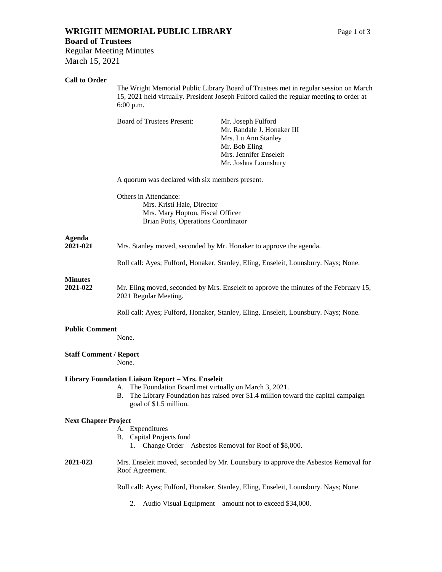# **WRIGHT MEMORIAL PUBLIC LIBRARY** Page 1 of 3

# **Board of Trustees**

Regular Meeting Minutes March 15, 2021

# **Call to Order**

The Wright Memorial Public Library Board of Trustees met in regular session on March 15, 2021 held virtually. President Joseph Fulford called the regular meeting to order at 6:00 p.m.

Board of Trustees Present: Mr. Joseph Fulford

Mr. Randale J. Honaker III Mrs. Lu Ann Stanley Mr. Bob Eling Mrs. Jennifer Enseleit Mr. Joshua Lounsbury

A quorum was declared with six members present.

Others in Attendance: Mrs. Kristi Hale, Director Mrs. Mary Hopton, Fiscal Officer Brian Potts, Operations Coordinator

# **Agenda**

**2021-021** Mrs. Stanley moved, seconded by Mr. Honaker to approve the agenda.

Roll call: Ayes; Fulford, Honaker, Stanley, Eling, Enseleit, Lounsbury. Nays; None.

# **Minutes**

**2021-022** Mr. Eling moved, seconded by Mrs. Enseleit to approve the minutes of the February 15, 2021 Regular Meeting.

Roll call: Ayes; Fulford, Honaker, Stanley, Eling, Enseleit, Lounsbury. Nays; None.

# **Public Comment**

None.

# **Staff Comment / Report**

None.

# **Library Foundation Liaison Report – Mrs. Enseleit**

- A. The Foundation Board met virtually on March 3, 2021.
- B. The Library Foundation has raised over \$1.4 million toward the capital campaign goal of \$1.5 million.

# **Next Chapter Project**

- A. Expenditures
- B. Capital Projects fund
	- 1. Change Order Asbestos Removal for Roof of \$8,000.
- **2021-023** Mrs. Enseleit moved, seconded by Mr. Lounsbury to approve the Asbestos Removal for Roof Agreement.

Roll call: Ayes; Fulford, Honaker, Stanley, Eling, Enseleit, Lounsbury. Nays; None.

2. Audio Visual Equipment – amount not to exceed \$34,000.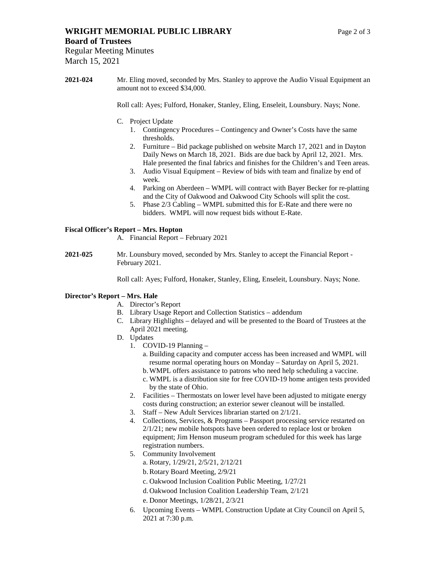# **WRIGHT MEMORIAL PUBLIC LIBRARY** Page 2 of 3

March 15, 2021

**2021-024** Mr. Eling moved, seconded by Mrs. Stanley to approve the Audio Visual Equipment an amount not to exceed \$34,000.

Roll call: Ayes; Fulford, Honaker, Stanley, Eling, Enseleit, Lounsbury. Nays; None.

- C. Project Update
	- 1. Contingency Procedures Contingency and Owner's Costs have the same thresholds.
	- 2. Furniture Bid package published on website March 17, 2021 and in Dayton Daily News on March 18, 2021. Bids are due back by April 12, 2021. Mrs. Hale presented the final fabrics and finishes for the Children's and Teen areas.
	- 3. Audio Visual Equipment Review of bids with team and finalize by end of week.
	- 4. Parking on Aberdeen WMPL will contract with Bayer Becker for re-platting and the City of Oakwood and Oakwood City Schools will split the cost.
	- 5. Phase 2/3 Cabling WMPL submitted this for E-Rate and there were no bidders. WMPL will now request bids without E-Rate.

# **Fiscal Officer's Report – Mrs. Hopton**

- A. Financial Report February 2021
- **2021-025** Mr. Lounsbury moved, seconded by Mrs. Stanley to accept the Financial Report February 2021.

Roll call: Ayes; Fulford, Honaker, Stanley, Eling, Enseleit, Lounsbury. Nays; None.

# **Director's Report – Mrs. Hale**

- A. Director's Report
- B. Library Usage Report and Collection Statistics addendum
- C. Library Highlights delayed and will be presented to the Board of Trustees at the April 2021 meeting.
- D. Updates
	- 1. COVID-19 Planning
		- a. Building capacity and computer access has been increased and WMPL will resume normal operating hours on Monday – Saturday on April 5, 2021.
		- b.WMPL offers assistance to patrons who need help scheduling a vaccine.
		- c. WMPL is a distribution site for free COVID-19 home antigen tests provided by the state of Ohio.
	- 2. Facilities Thermostats on lower level have been adjusted to mitigate energy costs during construction; an exterior sewer cleanout will be installed.
	- 3. Staff New Adult Services librarian started on 2/1/21.
	- 4. Collections, Services, & Programs Passport processing service restarted on 2/1/21; new mobile hotspots have been ordered to replace lost or broken equipment; Jim Henson museum program scheduled for this week has large registration numbers.
	- 5. Community Involvement
		- a. Rotary, 1/29/21, 2/5/21, 2/12/21
		- b.Rotary Board Meeting, 2/9/21
		- c. Oakwood Inclusion Coalition Public Meeting, 1/27/21
		- d. Oakwood Inclusion Coalition Leadership Team, 2/1/21
		- e. Donor Meetings, 1/28/21, 2/3/21
	- 6. Upcoming Events WMPL Construction Update at City Council on April 5, 2021 at 7:30 p.m.